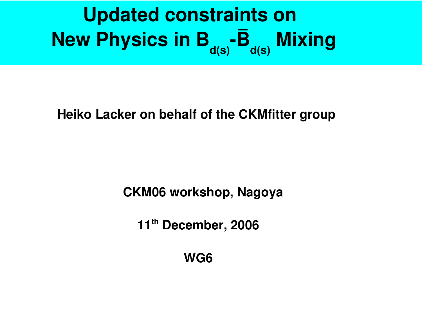# **Updated constraints on New Physics in B<sub>a(s)</sub> -B<sub>a(s)</sub> Mixing**

#### **Heiko Lacker on behalf of the CKMfitter group**

**CKM06 workshop, Nagoya**

**11 th December, 2006**

**WG6**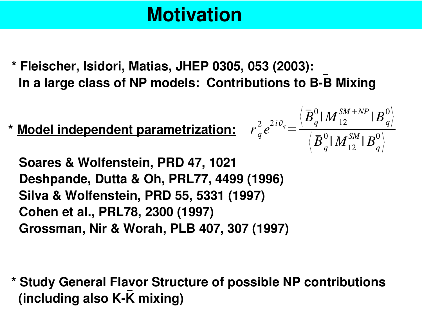## **Motivation**

**\* Fleischer, Isidori, Matias, JHEP 0305, 053 (2003): ln a large class of NP models: Contributions to B-B Mixing** 

**\* Model independent parametrization:**

**Soares & Wolfenstein, PRD 47, 1021 Deshpande, Dutta & Oh, PRL77, 4499 (1996) Silva & Wolfenstein, PRD 55, 5331 (1997) Cohen et al., PRL78, 2300 (1997) Grossman, Nir & Worah, PLB 407, 307 (1997)**

**\* Study General Flavor Structure of possible NP contributions (including also K-K mixing)** 

$$
r_q^2e^{2i\theta_q}\hspace{-1mm}=\hspace{-1mm}\frac{\left\langle\overline{B}_q^0|\hspace{0.1mm}M_{12}^{SM+NP}|\hspace{0.1mm}B_q^0\right\rangle}{\left\langle\overline{B}_q^0|\hspace{0.1mm}M_{12}^{SM}|\hspace{0.1mm}B_q^0\right\rangle}
$$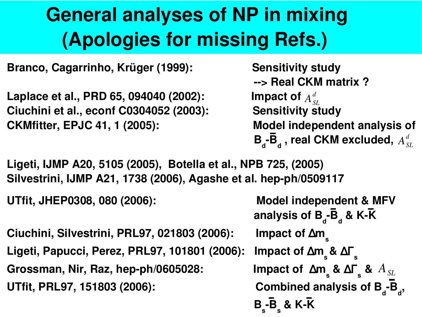## **General analyses of NP in mixing (Apologies for missing Refs.)**

**Branco, Cagarrinho, Krüger (1999): Sensitivity study**

**Laplace et al., PRD 65, 094040 (2002): Ciuchini et al., econf C0304052 (2003): Sensitivity study CKMfitter, EPJC 41, 1 (2005): Model independent analysis of**

```
> Real CKM matrix ?
\mathbf{B}_{\mathbf{d}}-\mathbf{\bar{B}}_{\mathbf{d}} , real CKM excluded, A^d_{SL}A_{SL}^d
```
**Ligeti, IJMP A20, 5105 (2005), Botella et al., NPB 725, (2005) Silvestrini, IJMP A21, 1738 (2006), Agashe et al. hepph/0509117**

**UTfit, JHEP0308, 080 (2006): Model independent & MFV**

**Ciuchini, Silvestrini, PRL97, 021803 (2006): Ligeti, Papucci, Perez, PRL97, 101801 (2006): Grossman, Nir, Raz, hep-ph/0605028: UTfit, PRL97, 151803 (2006):** 

**analysis of B<sup>d</sup> B<sup>d</sup> & KK Impact of**  $\Delta m$ **s &** ∆Γ **s s &** ∆Γ **s &** *ASL***B<sup>d</sup> , B s B s & KK**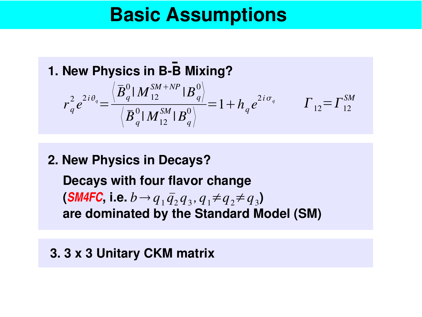### **Basic Assumptions**

**1. New Physics in B-B Mixing?** 

$$
r_q^2 e^{2i\theta_q} = \frac{\left\langle \overline{B}_q^0 \mid M_{12}^{SM+NP} \mid B_q^0 \right\rangle}{\left\langle \overline{B}_q^0 \mid M_{12}^{SM} \mid B_q^0 \right\rangle} = 1 + h_q e^{2i\sigma_q} \qquad \Gamma_{12} = \Gamma_{12}^{SM}
$$

#### **2. New Physics in Decays?**

**Decays with four flavor change**  $(\textbf{SM4FC}, \textbf{i.e.} \; b \rightarrow q_{1} \, \bar{q}_{2} q_{3}, q_{1} \neq q_{2} \neq q_{3})$ **are dominated by the Standard Model (SM)**

#### **3. 3 x 3 Unitary CKM matrix**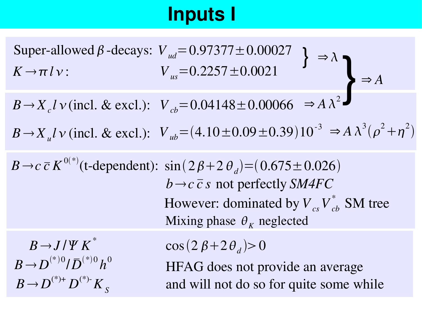## **Inputs I**

 $B \rightarrow X_u l \nu$  (incl. & excl.):  $V_{ub} = (4.10 \pm 0.09 \pm 0.39) 10^{-3} \Rightarrow A \lambda^3 (\rho^2 + \eta^2)$  $B \rightarrow X_c l \nu$  (incl. & excl.): Super-allowed  $\beta$ -decays:  $K \rightarrow \pi l \nu$ :  $V_{us} = 0.2257 \pm 0.0021$  $\Rightarrow \lambda$  $V_{cb}$ =0.04148±0.00066 } }  $\Rightarrow$  *A* 3 *Vud* =0.97377±0.00027  $\Rightarrow$  *A*  $\lambda^2$ 

 $B \rightarrow c \ \bar{c} K^{0(*)}$  (t-dependent):  $\sin(2\beta + 2\theta_d) = (0.675 \pm 0.026)$  $\cos(2\beta + 2\theta_{d}) > 0$  $B \rightarrow J/\Psi K^*$  $B$   $\rightarrow$   $D^{(*)0}$  /  $\bar{D}^{(*)0}$   $h^{0}$  $B \to D^{(*)+} D^{(*)-} K_S$ HFAG does not provide an average  $b \rightarrow c \overline{c}$  *s* not perfectly *SM4FC* However: dominated by  $V_{cs}V_{cb}^*$  SM tree Mixing phase  $\theta_K$  neglected

and will not do so for quite some while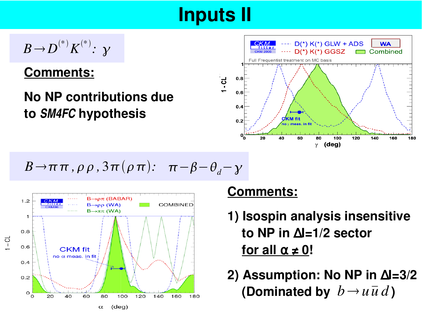## **Inputs II**

$$
B\!\to\! D^{(*)}K^{(*)}\colon\thinspace\mathcal Y
$$

#### **Comments:**

### **No NP contributions due to** *SM4FC* **hypothesis**



$$
B\rightarrow \pi\pi, \rho\rho, 3\pi(\rho\pi): \pi-\beta-\theta_d-\gamma
$$



#### **Comments:**

- **1) Isospin analysis insensitive to NP in** ∆**I=1/2 sector for all**  $\alpha \neq 0$ !
- **2) Assumption: No NP in** ∆**I=3/2 (Dominated by**  $b \rightarrow u \bar{u} d$ )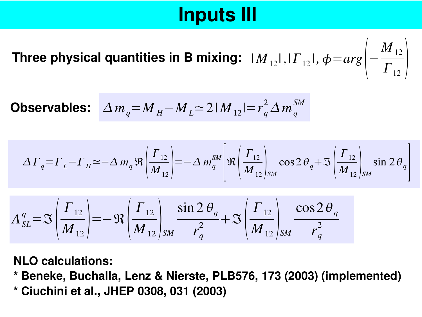## **Inputs III**

Three physical quantities in B mixing:  $|M_{12}|, |\varGamma_{12}|, \phi\!=\!arg\left[-\right.$  $\overline{M}_{12}$  $\left.\mathit{\Gamma}_{\mathrm{12}}\,\right|\mathit{\ }$ 

**Observables:** 
$$
\Delta m_q = M_H - M_L \approx 2|M_{12}| = r_q^2 \Delta m_q^{SM}
$$

$$
\Delta\Gamma_q = \Gamma_L - \Gamma_H \simeq -\Delta m_q \Re \left(\frac{\Gamma_{12}}{M_{12}}\right) = -\Delta m_q^{SM} \left[\Re \left(\frac{\Gamma_{12}}{M_{12}}\right)_{SM} \cos 2\theta_q + \Im \left(\frac{\Gamma_{12}}{M_{12}}\right)_{SM} \sin 2\theta_q\right]
$$

$$
A_{SL}^q = \mathfrak{S}\left(\frac{\Gamma_{12}}{M_{12}}\right) = -\mathfrak{R}\left(\frac{\Gamma_{12}}{M_{12}}\right)_{SM} \frac{\sin 2\theta_q}{r_q^2} + \mathfrak{S}\left(\frac{\Gamma_{12}}{M_{12}}\right)_{SM} \frac{\cos 2\theta_q}{r_q^2}
$$

**NLO calculations:**

**\* Beneke, Buchalla, Lenz & Nierste, PLB576, 173 (2003) (implemented) \* Ciuchini et al., JHEP 0308, 031 (2003)**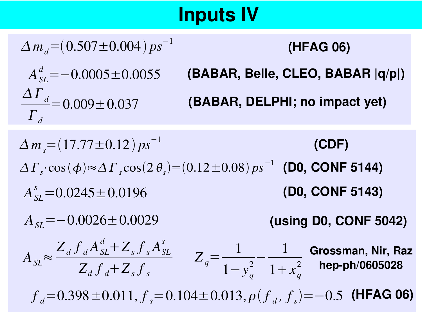## **Inputs IV**

 $\Delta m_d = (0.507 \pm 0.004) ps^{-1}$  $\Delta\, \overline{\varGamma}_{d}$  $\overline{\varGamma}_{d}$  $=0.009\pm0.037$  $A_{SL}^d$ =-0.0005±0.0055  $A$ <sub>*SL*</sub> $\approx$  $Z_d$   $f$ <sub>*d*</sub>  $A_{SL}^d$  +  $Z_s$   $f$ <sub>*s*</sub> $A_{SL}^s$  $\Delta m_s = (17.77 \pm 0.12) ps^{-1}$  $Z_q$ = 1  $\frac{1}{2}$ 1  $A_{SI} = -0.0026 \pm 0.0029$ =−0.0026±0.0029 **(using D0, CONF 5042) (BABAR, Belle, CLEO, BABAR |q/p|)**  $\Delta\Gamma_s$ ⋅cos(φ)≈ $\Delta\Gamma_s$ cos(2θ<sub>s</sub>)=(0.12±0.08) ps<sup>-1</sup> (D0, CONF 5144) **(BABAR, DELPHI; no impact yet) (CDF) (HFAG 06)**  $A_{SL}^s = 0.0245 \pm 0.0196$  (D0, CONF 5143) **Grossman, Nir, Raz**

 $f<sub>d</sub>=0.398\pm0.011, f<sub>s</sub>=0.104\pm0.013, \rho(f<sub>d</sub>, f<sub>s</sub>)=-0.5$  (HFAG 06)

1−*y<sup>q</sup>*

 $1 + x_q^2$ 

**hepph/0605028**

 $Z_d$  *f*<sub>*d*</sub></sub> +  $Z_s$  *f*<sub>*s*</sub>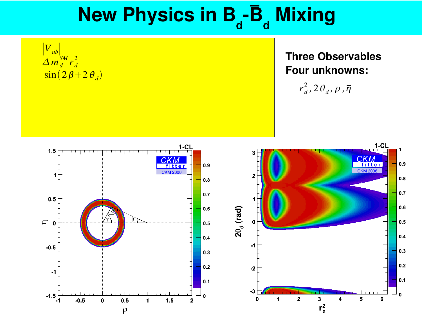



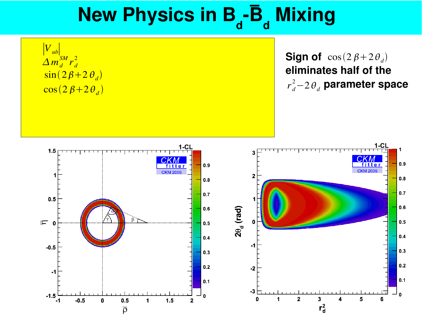∣*Vub*∣  $\sin(2\beta+2\theta_d)$  $\Delta m_d^{SM} r_d^2$  $\cos(2\beta+2\theta_d)$ 

**Sign of**  $cos(2\beta + 2\theta_d)$ **eliminates half of the** *r*<sub>d</sub>−2 $\theta$ <sub>d</sub> parameter space

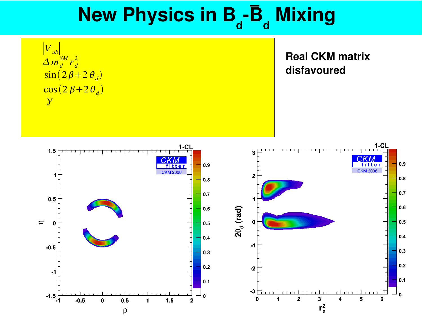∣*Vub*∣  $\sin(2\beta+2\theta_d)$  $\Delta m_d^{SM} r_d^2$  $\cos(2\beta+2\theta_d)$  $\overline{\mathcal{X}}$ 

**Real CKM matrix disfavoured**

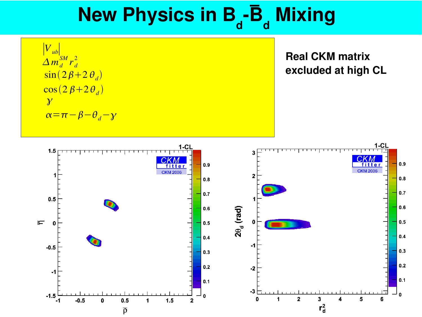∣*Vub*∣  $\sin(2\beta+2\theta_d)$  $\Delta m_d^{SM} r_d^2$  $\cos(2\beta+2\theta_d)$  $\overline{\mathcal{X}}$  $\alpha = \pi - \beta - \theta_d - \gamma$ 

**Real CKM matrix excluded at high CL**

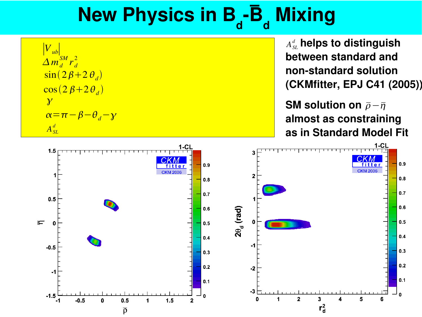∣*Vub*∣  $\sin(2\beta+2\theta_d)$  $\Delta m_d^{SM} r_d^2$  $\cos(2\beta+2\theta_d)$  $\overline{\gamma}$  $\alpha = \pi - \beta - \theta_d - \gamma$  $A_{SL}^d$ 

 $A^{\scriptscriptstyle d}_{\scriptscriptstyle{S\!L}}$  helps to distinguish **between standard and nonstandard solution (CKMfitter, EPJ C41 (2005))**

**SM** solution on  $\bar{\rho}-\bar{\eta}$ **almost as constraining as in Standard Model Fit**

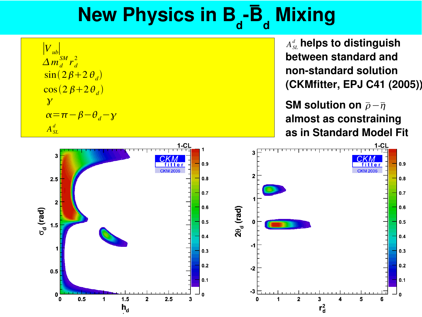∣*Vub*∣  $\sin(2\beta+2\theta_d)$  $\Delta m_d^{SM} r_d^2$  $\cos(2\beta+2\theta_d)$  $\overline{\gamma}$  $\alpha = \pi - \beta - \theta_d - \gamma$  $A_{SL}^d$ 

 $A^{\mathit{d}}_{\mathit{SL}}$  helps to distinguish **between standard and nonstandard solution (CKMfitter, EPJ C41 (2005))**

**SM** solution on  $\bar{p} - \bar{\eta}$ **almost as constraining as in Standard Model Fit**

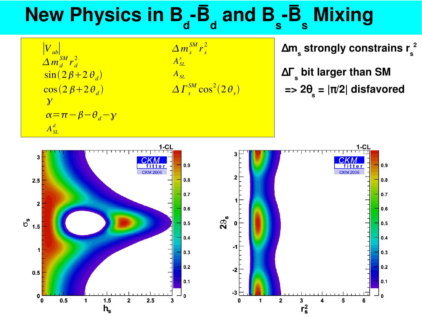∣*Vub*∣  $\sin(2\beta+2\theta_d)$  $\Delta m_d^{SM} r_d^2$  $\cos(2\beta+2\theta_d)$  $\overline{\gamma}$  $\alpha = \pi - \beta - \theta_d - \gamma$  $A_{SL}^d$ 

 $\Delta m_s^{SM} r_s^2$  $A_{SL}^s$ *ASL*  $\Delta\varGamma_{s}^{SM} \cos^{2}(2\,\theta_{s})$ 

 ∆**m s strongly constrains r s 2**

 ∆Γ **s bit larger than SM => 2**θ **s = |**π**/2| disfavored**



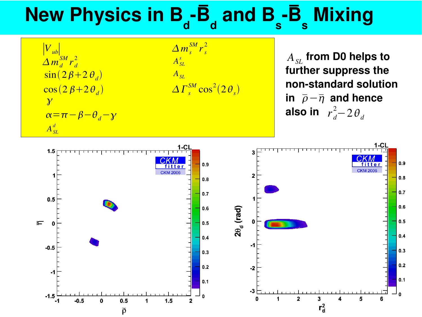∣*Vub*∣  $\sin(2\beta+2\theta_d)$  $\Delta m_d^{SM} r_d^2$  $\cos(2\beta+2\theta_d)$  $\overline{\gamma}$  $\alpha = \pi - \beta - \theta_d - \gamma$  $A_{SL}^d$ 

$$
\frac{\Delta m_s^{SM} r_s^2}{A_{SL}^s}
$$
  

$$
\frac{A_{SL}}{\Delta \Gamma_s^{SM} \cos^2(2\theta_s)}
$$

 $A_{SL}$  from D0 helps to **further suppress the nonstandard solution**  $\overline{\rho}-\overline{\eta}$  and hence **also in**  $r_d^2 - 2\theta_d$ 

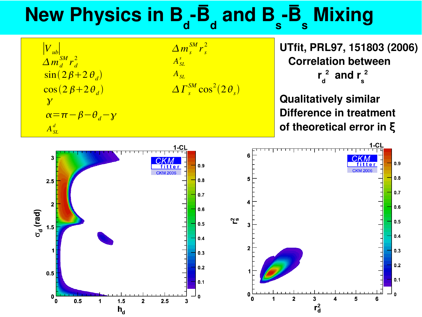∣*Vub*∣  $\sin(2\beta+2\theta_d)$  $\Delta m_d^{SM} r_d^2$  $\cos(2\beta+2\theta_d)$  $\overline{\gamma}$  $\alpha = \pi - \beta - \theta_d - \gamma$  $A_{SL}^d$ 

 $\Delta m_s^{SM} r_s^2$  $A_{SL}^s$ *ASL*  $\Delta\varGamma_{s}^{SM} \cos^{2}(2\,\theta_{s})$  **UTfit, PRL97, 151803 (2006) Correlation between r d 2 and r s 2**

**Qualitatively similar Difference in treatment of theoretical error in** ξ